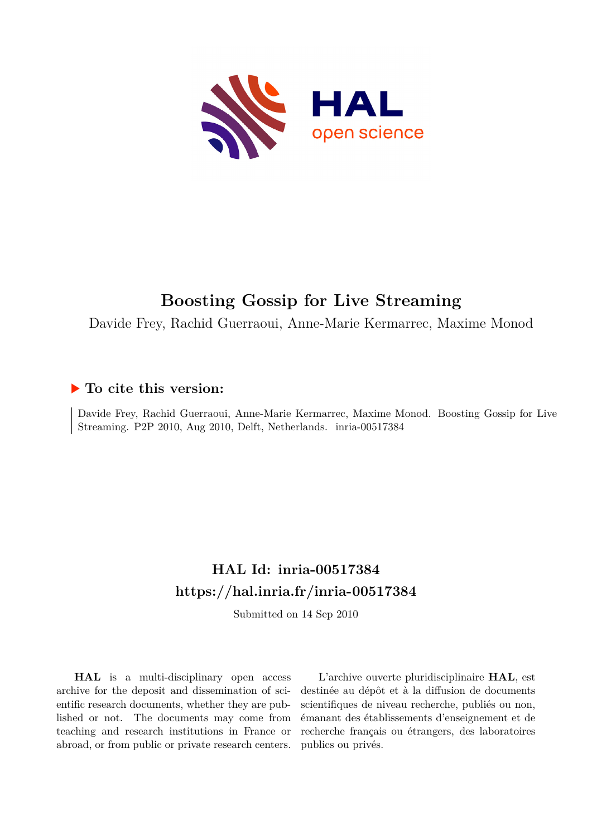

## **Boosting Gossip for Live Streaming**

Davide Frey, Rachid Guerraoui, Anne-Marie Kermarrec, Maxime Monod

### **To cite this version:**

Davide Frey, Rachid Guerraoui, Anne-Marie Kermarrec, Maxime Monod. Boosting Gossip for Live Streaming. P2P 2010, Aug 2010, Delft, Netherlands. inria-00517384

## **HAL Id: inria-00517384 <https://hal.inria.fr/inria-00517384>**

Submitted on 14 Sep 2010

**HAL** is a multi-disciplinary open access archive for the deposit and dissemination of scientific research documents, whether they are published or not. The documents may come from teaching and research institutions in France or abroad, or from public or private research centers.

L'archive ouverte pluridisciplinaire **HAL**, est destinée au dépôt et à la diffusion de documents scientifiques de niveau recherche, publiés ou non, émanant des établissements d'enseignement et de recherche français ou étrangers, des laboratoires publics ou privés.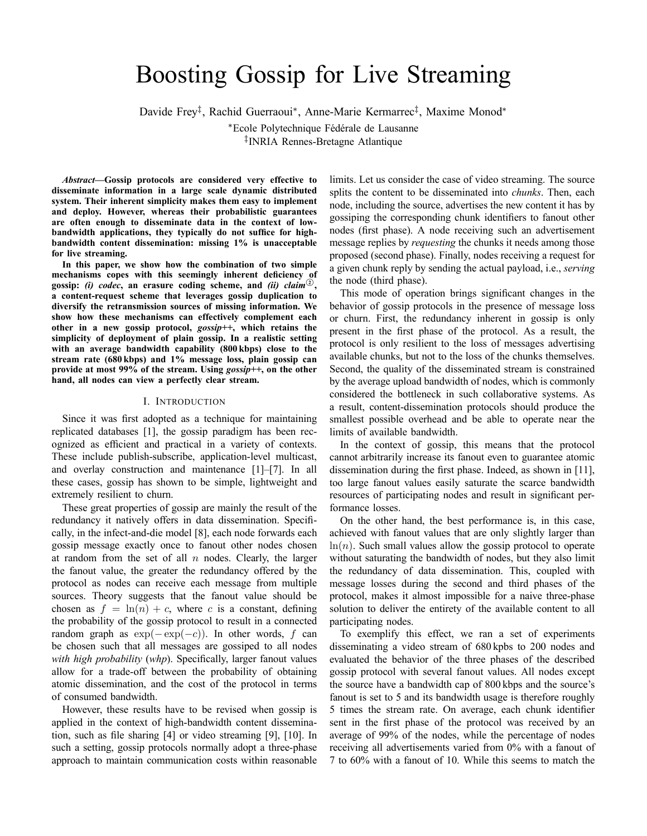# Boosting Gossip for Live Streaming

Davide Frey‡, Rachid Guerraoui∗, Anne-Marie Kermarrec‡, Maxime Monod∗

\*Ecole Polytechnique Fédérale de Lausanne ‡INRIA Rennes-Bretagne Atlantique

*Abstract***—Gossip protocols are considered very effective to disseminate information in a large scale dynamic distributed system. Their inherent simplicity makes them easy to implement and deploy. However, whereas their probabilistic guarantees are often enough to disseminate data in the context of lowbandwidth applications, they typically do not suffice for highbandwidth content dissemination: missing 1% is unacceptable for live streaming.**

**In this paper, we show how the combination of two simple mechanisms copes with this seemingly inherent deficiency of gossip:** *(i) codec*, an erasure coding scheme, and *(ii) claim*<sup>(2)</sup>, **a content-request scheme that leverages gossip duplication to diversify the retransmission sources of missing information. We show how these mechanisms can effectively complement each other in a new gossip protocol,** *gossip++***, which retains the simplicity of deployment of plain gossip. In a realistic setting with an average bandwidth capability (800 kbps) close to the stream rate (680 kbps) and 1% message loss, plain gossip can provide at most 99% of the stream. Using** *gossip++***, on the other hand, all nodes can view a perfectly clear stream.**

#### I. INTRODUCTION

Since it was first adopted as a technique for maintaining replicated databases [1], the gossip paradigm has been recognized as efficient and practical in a variety of contexts. These include publish-subscribe, application-level multicast, and overlay construction and maintenance [1]–[7]. In all these cases, gossip has shown to be simple, lightweight and extremely resilient to churn.

These great properties of gossip are mainly the result of the redundancy it natively offers in data dissemination. Specifically, in the infect-and-die model [8], each node forwards each gossip message exactly once to fanout other nodes chosen at random from the set of all  $n$  nodes. Clearly, the larger the fanout value, the greater the redundancy offered by the protocol as nodes can receive each message from multiple sources. Theory suggests that the fanout value should be chosen as  $f = \ln(n) + c$ , where c is a constant, defining the probability of the gossip protocol to result in a connected random graph as  $\exp(-\exp(-c))$ . In other words, f can be chosen such that all messages are gossiped to all nodes *with high probability* (*whp*). Specifically, larger fanout values allow for a trade-off between the probability of obtaining atomic dissemination, and the cost of the protocol in terms of consumed bandwidth.

However, these results have to be revised when gossip is applied in the context of high-bandwidth content dissemination, such as file sharing [4] or video streaming [9], [10]. In such a setting, gossip protocols normally adopt a three-phase approach to maintain communication costs within reasonable limits. Let us consider the case of video streaming. The source splits the content to be disseminated into *chunks*. Then, each node, including the source, advertises the new content it has by gossiping the corresponding chunk identifiers to fanout other nodes (first phase). A node receiving such an advertisement message replies by *requesting* the chunks it needs among those proposed (second phase). Finally, nodes receiving a request for a given chunk reply by sending the actual payload, i.e., *serving* the node (third phase).

This mode of operation brings significant changes in the behavior of gossip protocols in the presence of message loss or churn. First, the redundancy inherent in gossip is only present in the first phase of the protocol. As a result, the protocol is only resilient to the loss of messages advertising available chunks, but not to the loss of the chunks themselves. Second, the quality of the disseminated stream is constrained by the average upload bandwidth of nodes, which is commonly considered the bottleneck in such collaborative systems. As a result, content-dissemination protocols should produce the smallest possible overhead and be able to operate near the limits of available bandwidth.

In the context of gossip, this means that the protocol cannot arbitrarily increase its fanout even to guarantee atomic dissemination during the first phase. Indeed, as shown in [11], too large fanout values easily saturate the scarce bandwidth resources of participating nodes and result in significant performance losses.

On the other hand, the best performance is, in this case, achieved with fanout values that are only slightly larger than  $ln(n)$ . Such small values allow the gossip protocol to operate without saturating the bandwidth of nodes, but they also limit the redundancy of data dissemination. This, coupled with message losses during the second and third phases of the protocol, makes it almost impossible for a naive three-phase solution to deliver the entirety of the available content to all participating nodes.

To exemplify this effect, we ran a set of experiments disseminating a video stream of 680 kpbs to 200 nodes and evaluated the behavior of the three phases of the described gossip protocol with several fanout values. All nodes except the source have a bandwidth cap of 800 kbps and the source's fanout is set to 5 and its bandwidth usage is therefore roughly 5 times the stream rate. On average, each chunk identifier sent in the first phase of the protocol was received by an average of 99% of the nodes, while the percentage of nodes receiving all advertisements varied from 0% with a fanout of 7 to 60% with a fanout of 10. While this seems to match the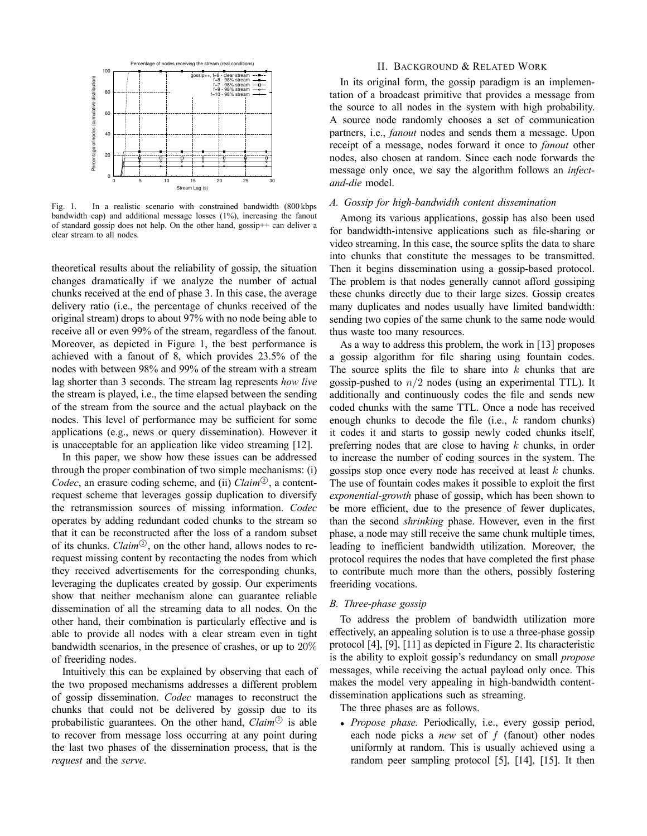

Fig. 1. In a realistic scenario with constrained bandwidth (800 kbps bandwidth cap) and additional message losses (1%), increasing the fanout of standard gossip does not help. On the other hand, gossip++ can deliver a clear stream to all nodes.

theoretical results about the reliability of gossip, the situation changes dramatically if we analyze the number of actual chunks received at the end of phase 3. In this case, the average delivery ratio (i.e., the percentage of chunks received of the original stream) drops to about 97% with no node being able to receive all or even 99% of the stream, regardless of the fanout. Moreover, as depicted in Figure 1, the best performance is achieved with a fanout of 8, which provides 23.5% of the nodes with between 98% and 99% of the stream with a stream lag shorter than 3 seconds. The stream lag represents *how live* the stream is played, i.e., the time elapsed between the sending of the stream from the source and the actual playback on the nodes. This level of performance may be sufficient for some applications (e.g., news or query dissemination). However it is unacceptable for an application like video streaming [12].

In this paper, we show how these issues can be addressed through the proper combination of two simple mechanisms: (i) *Codec*, an erasure coding scheme, and (ii) *Claim*<sup>2</sup>, a contentrequest scheme that leverages gossip duplication to diversify the retransmission sources of missing information. *Codec* operates by adding redundant coded chunks to the stream so that it can be reconstructed after the loss of a random subset of its chunks. *Claim*<sup>2</sup>, on the other hand, allows nodes to rerequest missing content by recontacting the nodes from which they received advertisements for the corresponding chunks, leveraging the duplicates created by gossip. Our experiments show that neither mechanism alone can guarantee reliable dissemination of all the streaming data to all nodes. On the other hand, their combination is particularly effective and is able to provide all nodes with a clear stream even in tight bandwidth scenarios, in the presence of crashes, or up to 20% of freeriding nodes.

Intuitively this can be explained by observing that each of the two proposed mechanisms addresses a different problem of gossip dissemination. *Codec* manages to reconstruct the chunks that could not be delivered by gossip due to its probabilistic guarantees. On the other hand,  $Claim^{\circledcirc}$  is able to recover from message loss occurring at any point during the last two phases of the dissemination process, that is the *request* and the *serve*.

#### II. BACKGROUND & RELATED WORK

In its original form, the gossip paradigm is an implementation of a broadcast primitive that provides a message from the source to all nodes in the system with high probability. A source node randomly chooses a set of communication partners, i.e., *fanout* nodes and sends them a message. Upon receipt of a message, nodes forward it once to *fanout* other nodes, also chosen at random. Since each node forwards the message only once, we say the algorithm follows an *infectand-die* model.

#### *A. Gossip for high-bandwidth content dissemination*

Among its various applications, gossip has also been used for bandwidth-intensive applications such as file-sharing or video streaming. In this case, the source splits the data to share into chunks that constitute the messages to be transmitted. Then it begins dissemination using a gossip-based protocol. The problem is that nodes generally cannot afford gossiping these chunks directly due to their large sizes. Gossip creates many duplicates and nodes usually have limited bandwidth: sending two copies of the same chunk to the same node would thus waste too many resources.

As a way to address this problem, the work in [13] proposes a gossip algorithm for file sharing using fountain codes. The source splits the file to share into  $k$  chunks that are gossip-pushed to  $n/2$  nodes (using an experimental TTL). It additionally and continuously codes the file and sends new coded chunks with the same TTL. Once a node has received enough chunks to decode the file (i.e.,  $k$  random chunks) it codes it and starts to gossip newly coded chunks itself, preferring nodes that are close to having  $k$  chunks, in order to increase the number of coding sources in the system. The gossips stop once every node has received at least  $k$  chunks. The use of fountain codes makes it possible to exploit the first *exponential-growth* phase of gossip, which has been shown to be more efficient, due to the presence of fewer duplicates, than the second *shrinking* phase. However, even in the first phase, a node may still receive the same chunk multiple times, leading to inefficient bandwidth utilization. Moreover, the protocol requires the nodes that have completed the first phase to contribute much more than the others, possibly fostering freeriding vocations.

#### *B. Three-phase gossip*

To address the problem of bandwidth utilization more effectively, an appealing solution is to use a three-phase gossip protocol [4], [9], [11] as depicted in Figure 2. Its characteristic is the ability to exploit gossip's redundancy on small *propose* messages, while receiving the actual payload only once. This makes the model very appealing in high-bandwidth contentdissemination applications such as streaming.

The three phases are as follows.

• *Propose phase.* Periodically, i.e., every gossip period, each node picks a *new* set of f (fanout) other nodes uniformly at random. This is usually achieved using a random peer sampling protocol [5], [14], [15]. It then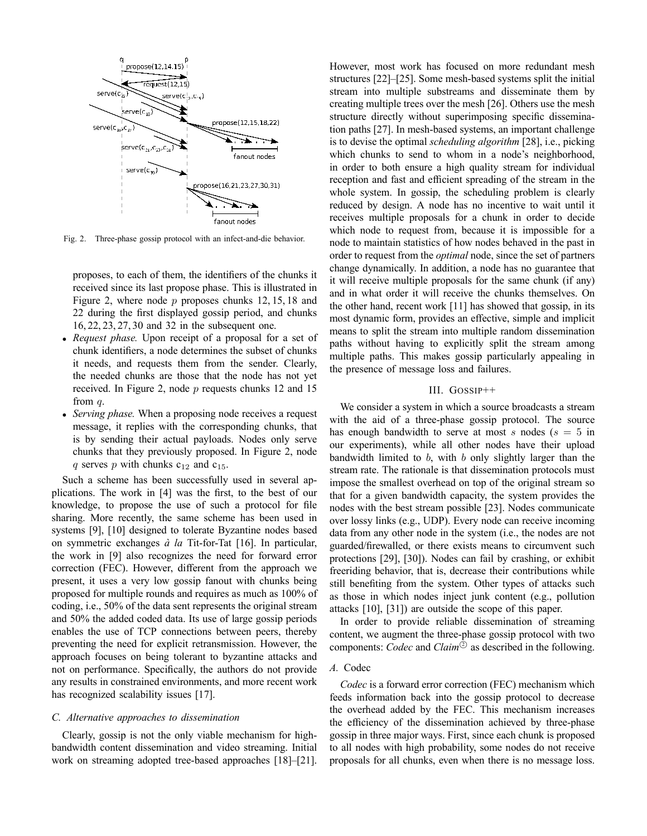

Fig. 2. Three-phase gossip protocol with an infect-and-die behavior.

proposes, to each of them, the identifiers of the chunks it received since its last propose phase. This is illustrated in Figure 2, where node  $p$  proposes chunks 12, 15, 18 and 22 during the first displayed gossip period, and chunks 16, 22, 23, 27, 30 and 32 in the subsequent one.

- *Request phase.* Upon receipt of a proposal for a set of chunk identifiers, a node determines the subset of chunks it needs, and requests them from the sender. Clearly, the needed chunks are those that the node has not yet received. In Figure 2, node  $p$  requests chunks 12 and 15 from q.
- *Serving phase.* When a proposing node receives a request message, it replies with the corresponding chunks, that is by sending their actual payloads. Nodes only serve chunks that they previously proposed. In Figure 2, node q serves p with chunks  $c_{12}$  and  $c_{15}$ .

Such a scheme has been successfully used in several applications. The work in [4] was the first, to the best of our knowledge, to propose the use of such a protocol for file sharing. More recently, the same scheme has been used in systems [9], [10] designed to tolerate Byzantine nodes based on symmetric exchanges *a la `* Tit-for-Tat [16]. In particular, the work in [9] also recognizes the need for forward error correction (FEC). However, different from the approach we present, it uses a very low gossip fanout with chunks being proposed for multiple rounds and requires as much as 100% of coding, i.e., 50% of the data sent represents the original stream and 50% the added coded data. Its use of large gossip periods enables the use of TCP connections between peers, thereby preventing the need for explicit retransmission. However, the approach focuses on being tolerant to byzantine attacks and not on performance. Specifically, the authors do not provide any results in constrained environments, and more recent work has recognized scalability issues [17].

#### *C. Alternative approaches to dissemination*

Clearly, gossip is not the only viable mechanism for highbandwidth content dissemination and video streaming. Initial work on streaming adopted tree-based approaches [18]–[21]. However, most work has focused on more redundant mesh structures [22]–[25]. Some mesh-based systems split the initial stream into multiple substreams and disseminate them by creating multiple trees over the mesh [26]. Others use the mesh structure directly without superimposing specific dissemination paths [27]. In mesh-based systems, an important challenge is to devise the optimal *scheduling algorithm* [28], i.e., picking which chunks to send to whom in a node's neighborhood, in order to both ensure a high quality stream for individual reception and fast and efficient spreading of the stream in the whole system. In gossip, the scheduling problem is clearly reduced by design. A node has no incentive to wait until it receives multiple proposals for a chunk in order to decide which node to request from, because it is impossible for a node to maintain statistics of how nodes behaved in the past in order to request from the *optimal* node, since the set of partners change dynamically. In addition, a node has no guarantee that it will receive multiple proposals for the same chunk (if any) and in what order it will receive the chunks themselves. On the other hand, recent work [11] has showed that gossip, in its most dynamic form, provides an effective, simple and implicit means to split the stream into multiple random dissemination paths without having to explicitly split the stream among multiple paths. This makes gossip particularly appealing in the presence of message loss and failures.

#### III. GOSSIP++

We consider a system in which a source broadcasts a stream with the aid of a three-phase gossip protocol. The source has enough bandwidth to serve at most s nodes ( $s = 5$  in our experiments), while all other nodes have their upload bandwidth limited to  $b$ , with  $b$  only slightly larger than the stream rate. The rationale is that dissemination protocols must impose the smallest overhead on top of the original stream so that for a given bandwidth capacity, the system provides the nodes with the best stream possible [23]. Nodes communicate over lossy links (e.g., UDP). Every node can receive incoming data from any other node in the system (i.e., the nodes are not guarded/firewalled, or there exists means to circumvent such protections [29], [30]). Nodes can fail by crashing, or exhibit freeriding behavior, that is, decrease their contributions while still benefiting from the system. Other types of attacks such as those in which nodes inject junk content (e.g., pollution attacks [10], [31]) are outside the scope of this paper.

In order to provide reliable dissemination of streaming content, we augment the three-phase gossip protocol with two components: *Codec* and *Claim*<sup>2</sup> as described in the following.

#### *A.* Codec

*Codec* is a forward error correction (FEC) mechanism which feeds information back into the gossip protocol to decrease the overhead added by the FEC. This mechanism increases the efficiency of the dissemination achieved by three-phase gossip in three major ways. First, since each chunk is proposed to all nodes with high probability, some nodes do not receive proposals for all chunks, even when there is no message loss.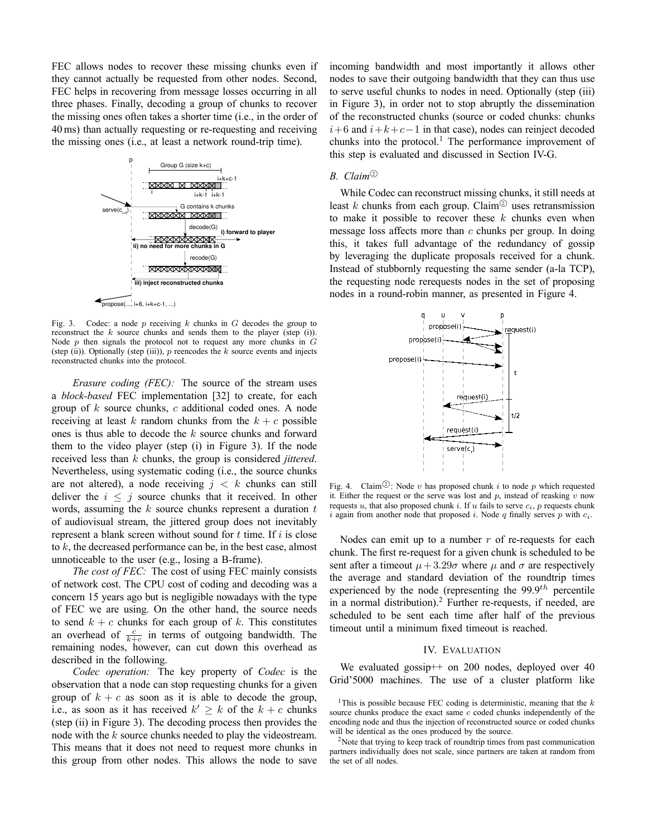FEC allows nodes to recover these missing chunks even if they cannot actually be requested from other nodes. Second, FEC helps in recovering from message losses occurring in all three phases. Finally, decoding a group of chunks to recover the missing ones often takes a shorter time (i.e., in the order of 40 ms) than actually requesting or re-requesting and receiving the missing ones (i.e., at least a network round-trip time).



Fig. 3. Codec: a node p receiving  $k$  chunks in  $G$  decodes the group to reconstruct the  $k$  source chunks and sends them to the player (step (i)). Node  $p$  then signals the protocol not to request any more chunks in  $G$ (step (ii)). Optionally (step (iii)),  $p$  reencodes the  $k$  source events and injects reconstructed chunks into the protocol.

*Erasure coding (FEC):* The source of the stream uses a *block-based* FEC implementation [32] to create, for each group of k source chunks, c additional coded ones. A node receiving at least k random chunks from the  $k + c$  possible ones is thus able to decode the k source chunks and forward them to the video player (step (i) in Figure 3). If the node received less than k chunks, the group is considered *jittered*. Nevertheless, using systematic coding (i.e., the source chunks are not altered), a node receiving  $j < k$  chunks can still deliver the  $i \leq j$  source chunks that it received. In other words, assuming the  $k$  source chunks represent a duration  $t$ of audiovisual stream, the jittered group does not inevitably represent a blank screen without sound for  $t$  time. If  $i$  is close to  $k$ , the decreased performance can be, in the best case, almost unnoticeable to the user (e.g., losing a B-frame).

*The cost of FEC:* The cost of using FEC mainly consists of network cost. The CPU cost of coding and decoding was a concern 15 years ago but is negligible nowadays with the type of FEC we are using. On the other hand, the source needs to send  $k + c$  chunks for each group of k. This constitutes an overhead of  $\frac{c}{k+c}$  in terms of outgoing bandwidth. The remaining nodes, however, can cut down this overhead as described in the following.

*Codec operation:* The key property of *Codec* is the observation that a node can stop requesting chunks for a given group of  $k + c$  as soon as it is able to decode the group, i.e., as soon as it has received  $k' > k$  of the  $k + c$  chunks (step (ii) in Figure 3). The decoding process then provides the node with the k source chunks needed to play the videostream. This means that it does not need to request more chunks in this group from other nodes. This allows the node to save incoming bandwidth and most importantly it allows other nodes to save their outgoing bandwidth that they can thus use to serve useful chunks to nodes in need. Optionally (step (iii) in Figure 3), in order not to stop abruptly the dissemination of the reconstructed chunks (source or coded chunks: chunks  $i+6$  and  $i+k+c-1$  in that case), nodes can reinject decoded chunks into the protocol.<sup>1</sup> The performance improvement of this step is evaluated and discussed in Section IV-G.

#### *B. Claim*°<sup>2</sup>

While Codec can reconstruct missing chunks, it still needs at least k chunks from each group. Claim<sup> $\circled{2}$ </sup> uses retransmission to make it possible to recover these  $k$  chunks even when message loss affects more than  $c$  chunks per group. In doing this, it takes full advantage of the redundancy of gossip by leveraging the duplicate proposals received for a chunk. Instead of stubbornly requesting the same sender (a-la TCP), the requesting node rerequests nodes in the set of proposing nodes in a round-robin manner, as presented in Figure 4.



Fig. 4. Claim<sup>②</sup>: Node v has proposed chunk i to node p which requested it. Either the request or the serve was lost and  $p$ , instead of reasking  $v$  now requests  $u$ , that also proposed chunk  $i$ . If  $u$  fails to serve  $c_i$ ,  $p$  requests chunk i again from another node that proposed i. Node  $q$  finally serves  $p$  with  $c_i$ .

Nodes can emit up to a number  $r$  of re-requests for each chunk. The first re-request for a given chunk is scheduled to be sent after a timeout  $\mu + 3.29\sigma$  where  $\mu$  and  $\sigma$  are respectively the average and standard deviation of the roundtrip times experienced by the node (representing the  $99.9<sup>th</sup>$  percentile in a normal distribution).2 Further re-requests, if needed, are scheduled to be sent each time after half of the previous timeout until a minimum fixed timeout is reached.

#### IV. EVALUATION

We evaluated gossip<sup>++</sup> on 200 nodes, deployed over 40 Grid'5000 machines. The use of a cluster platform like

<sup>&</sup>lt;sup>1</sup>This is possible because FEC coding is deterministic, meaning that the  $k$ source chunks produce the exact same  $c$  coded chunks independently of the encoding node and thus the injection of reconstructed source or coded chunks will be identical as the ones produced by the source.

<sup>&</sup>lt;sup>2</sup>Note that trying to keep track of roundtrip times from past communication partners individually does not scale, since partners are taken at random from the set of all nodes.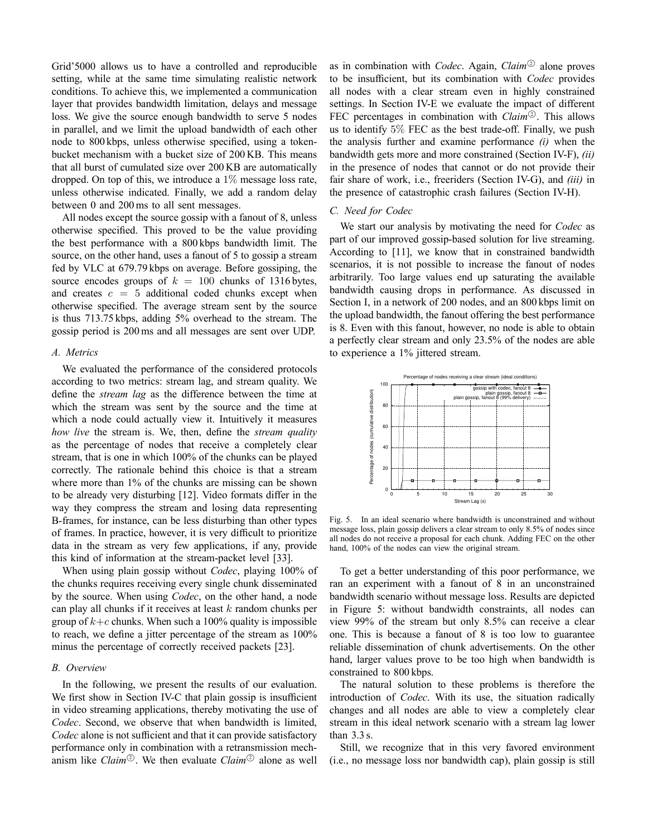Grid'5000 allows us to have a controlled and reproducible setting, while at the same time simulating realistic network conditions. To achieve this, we implemented a communication layer that provides bandwidth limitation, delays and message loss. We give the source enough bandwidth to serve 5 nodes in parallel, and we limit the upload bandwidth of each other node to 800 kbps, unless otherwise specified, using a tokenbucket mechanism with a bucket size of 200 KB. This means that all burst of cumulated size over 200 KB are automatically dropped. On top of this, we introduce a 1% message loss rate, unless otherwise indicated. Finally, we add a random delay between 0 and 200 ms to all sent messages.

All nodes except the source gossip with a fanout of 8, unless otherwise specified. This proved to be the value providing the best performance with a 800 kbps bandwidth limit. The source, on the other hand, uses a fanout of 5 to gossip a stream fed by VLC at 679.79 kbps on average. Before gossiping, the source encodes groups of  $k = 100$  chunks of 1316 bytes, and creates  $c = 5$  additional coded chunks except when otherwise specified. The average stream sent by the source is thus 713.75 kbps, adding 5% overhead to the stream. The gossip period is 200 ms and all messages are sent over UDP.

#### *A. Metrics*

We evaluated the performance of the considered protocols according to two metrics: stream lag, and stream quality. We define the *stream lag* as the difference between the time at which the stream was sent by the source and the time at which a node could actually view it. Intuitively it measures *how live* the stream is. We, then, define the *stream quality* as the percentage of nodes that receive a completely clear stream, that is one in which 100% of the chunks can be played correctly. The rationale behind this choice is that a stream where more than 1% of the chunks are missing can be shown to be already very disturbing [12]. Video formats differ in the way they compress the stream and losing data representing B-frames, for instance, can be less disturbing than other types of frames. In practice, however, it is very difficult to prioritize data in the stream as very few applications, if any, provide this kind of information at the stream-packet level [33].

When using plain gossip without *Codec*, playing 100% of the chunks requires receiving every single chunk disseminated by the source. When using *Codec*, on the other hand, a node can play all chunks if it receives at least  $k$  random chunks per group of  $k+c$  chunks. When such a 100% quality is impossible to reach, we define a jitter percentage of the stream as 100% minus the percentage of correctly received packets [23].

#### *B. Overview*

In the following, we present the results of our evaluation. We first show in Section IV-C that plain gossip is insufficient in video streaming applications, thereby motivating the use of *Codec*. Second, we observe that when bandwidth is limited, *Codec* alone is not sufficient and that it can provide satisfactory performance only in combination with a retransmission mechanism like *Claim*°<sup>2</sup> . We then evaluate *Claim*°<sup>2</sup> alone as well

as in combination with *Codec*. Again, *Claim*°<sup>2</sup> alone proves to be insufficient, but its combination with *Codec* provides all nodes with a clear stream even in highly constrained settings. In Section IV-E we evaluate the impact of different FEC percentages in combination with *Claim*<sup>2</sup>. This allows us to identify 5% FEC as the best trade-off. Finally, we push the analysis further and examine performance *(i)* when the bandwidth gets more and more constrained (Section IV-F), *(ii)* in the presence of nodes that cannot or do not provide their fair share of work, i.e., freeriders (Section IV-G), and *(iii)* in the presence of catastrophic crash failures (Section IV-H).

#### *C. Need for Codec*

We start our analysis by motivating the need for *Codec* as part of our improved gossip-based solution for live streaming. According to [11], we know that in constrained bandwidth scenarios, it is not possible to increase the fanout of nodes arbitrarily. Too large values end up saturating the available bandwidth causing drops in performance. As discussed in Section I, in a network of 200 nodes, and an 800 kbps limit on the upload bandwidth, the fanout offering the best performance is 8. Even with this fanout, however, no node is able to obtain a perfectly clear stream and only 23.5% of the nodes are able to experience a 1% jittered stream.



Fig. 5. In an ideal scenario where bandwidth is unconstrained and without message loss, plain gossip delivers a clear stream to only 8.5% of nodes since all nodes do not receive a proposal for each chunk. Adding FEC on the other hand,  $100\%$  of the nodes can view the original stream.

To get a better understanding of this poor performance, we ran an experiment with a fanout of 8 in an unconstrained bandwidth scenario without message loss. Results are depicted in Figure 5: without bandwidth constraints, all nodes can view 99% of the stream but only 8.5% can receive a clear one. This is because a fanout of 8 is too low to guarantee reliable dissemination of chunk advertisements. On the other hand, larger values prove to be too high when bandwidth is constrained to 800 kbps.

The natural solution to these problems is therefore the introduction of *Codec*. With its use, the situation radically changes and all nodes are able to view a completely clear stream in this ideal network scenario with a stream lag lower than 3.3 s.

Still, we recognize that in this very favored environment (i.e., no message loss nor bandwidth cap), plain gossip is still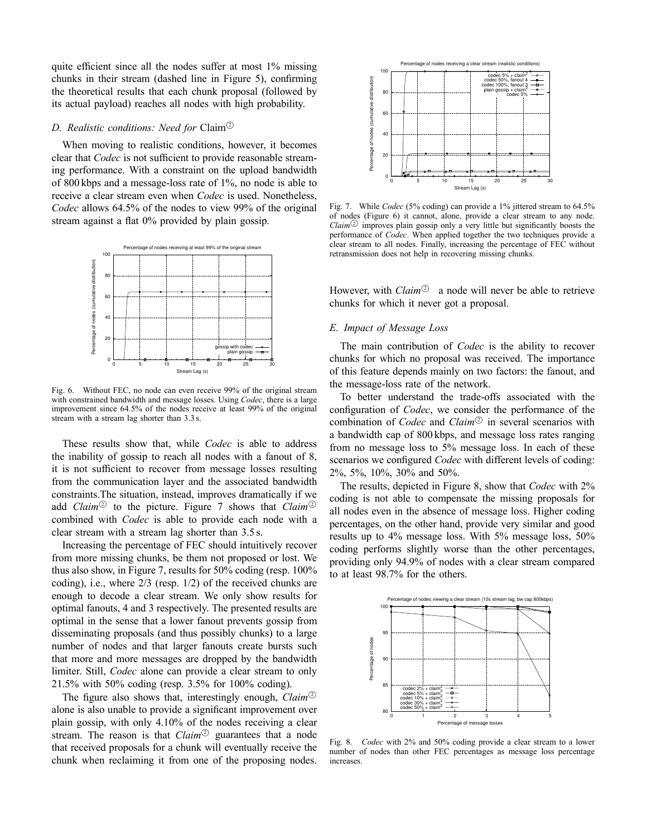quite efficient since all the nodes suffer at most 1% missing chunks in their stream (dashed line in Figure 5), confirming the theoretical results that each chunk proposal (followed by its actual payload) reaches all nodes with high probability.

#### *D. Realistic conditions: Need for* Claim°<sup>2</sup>

When moving to realistic conditions, however, it becomes clear that *Codec* is not sufficient to provide reasonable streaming performance. With a constraint on the upload bandwidth of 800 kbps and a message-loss rate of 1%, no node is able to receive a clear stream even when *Codec* is used. Nonetheless, *Codec* allows 64.5% of the nodes to view 99% of the original stream against a flat 0% provided by plain gossip.



Fig. 6. Without FEC, no node can even receive 99% of the original stream with constrained bandwidth and message losses. Using *Codec*, there is a large improvement since 64.5% of the nodes receive at least 99% of the original stream with a stream lag shorter than 3.3 s.

These results show that, while *Codec* is able to address the inability of gossip to reach all nodes with a fanout of 8, it is not sufficient to recover from message losses resulting from the communication layer and the associated bandwidth constraints.The situation, instead, improves dramatically if we add *Claim*°<sup>2</sup> to the picture. Figure 7 shows that *Claim*°<sup>2</sup> combined with *Codec* is able to provide each node with a clear stream with a stream lag shorter than 3.5 s.

Increasing the percentage of FEC should intuitively recover from more missing chunks, be them not proposed or lost. We thus also show, in Figure 7, results for 50% coding (resp. 100% coding), i.e., where 2/3 (resp. 1/2) of the received chunks are enough to decode a clear stream. We only show results for optimal fanouts, 4 and 3 respectively. The presented results are optimal in the sense that a lower fanout prevents gossip from disseminating proposals (and thus possibly chunks) to a large number of nodes and that larger fanouts create bursts such that more and more messages are dropped by the bandwidth limiter. Still, *Codec* alone can provide a clear stream to only 21.5% with 50% coding (resp. 3.5% for 100% coding).

The figure also shows that, interestingly enough, *Claim*°<sup>2</sup> alone is also unable to provide a significant improvement over plain gossip, with only 4.10% of the nodes receiving a clear stream. The reason is that *Claim*<sup>2</sup> guarantees that a node that received proposals for a chunk will eventually receive the chunk when reclaiming it from one of the proposing nodes.



Fig. 7. While *Codec* (5% coding) can provide a 1% jittered stream to 64.5% of nodes (Figure 6) it cannot, alone, provide a clear stream to any node. *Claim*°<sup>2</sup> improves plain gossip only a very little but significantly boosts the performance of *Codec*. When applied together the two techniques provide a clear stream to all nodes. Finally, increasing the percentage of FEC without retransmission does not help in recovering missing chunks.

However, with *Claim*<sup>2</sup> a node will never be able to retrieve chunks for which it never got a proposal.

#### *E. Impact of Message Loss*

The main contribution of *Codec* is the ability to recover chunks for which no proposal was received. The importance of this feature depends mainly on two factors: the fanout, and the message-loss rate of the network.

To better understand the trade-offs associated with the configuration of *Codec*, we consider the performance of the combination of *Codec* and *Claim*°<sup>2</sup> in several scenarios with a bandwidth cap of 800 kbps, and message loss rates ranging from no message loss to 5% message loss. In each of these scenarios we configured *Codec* with different levels of coding: 2%, 5%, 10%, 30% and 50%.

The results, depicted in Figure 8, show that *Codec* with 2% coding is not able to compensate the missing proposals for all nodes even in the absence of message loss. Higher coding percentages, on the other hand, provide very similar and good results up to 4% message loss. With 5% message loss, 50% coding performs slightly worse than the other percentages, providing only 94.9% of nodes with a clear stream compared to at least 98.7% for the others.



Fig. 8. *Codec* with 2% and 50% coding provide a clear stream to a lower number of nodes than other FEC percentages as message loss percentage increases.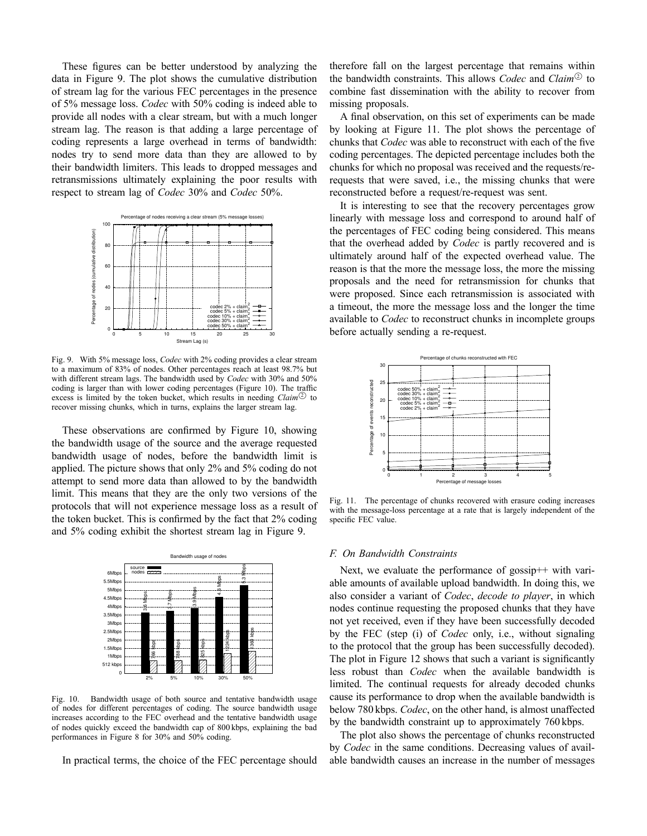These figures can be better understood by analyzing the data in Figure 9. The plot shows the cumulative distribution of stream lag for the various FEC percentages in the presence of 5% message loss. *Codec* with 50% coding is indeed able to provide all nodes with a clear stream, but with a much longer stream lag. The reason is that adding a large percentage of coding represents a large overhead in terms of bandwidth: nodes try to send more data than they are allowed to by their bandwidth limiters. This leads to dropped messages and retransmissions ultimately explaining the poor results with respect to stream lag of *Codec* 30% and *Codec* 50%.



Fig. 9. With 5% message loss, *Codec* with 2% coding provides a clear stream to a maximum of 83% of nodes. Other percentages reach at least 98.7% but with different stream lags. The bandwidth used by *Codec* with 30% and 50% coding is larger than with lower coding percentages (Figure 10). The traffic excess is limited by the token bucket, which results in needing  $Claim^{(2)}$  to recover missing chunks, which in turns, explains the larger stream lag.

These observations are confirmed by Figure 10, showing the bandwidth usage of the source and the average requested bandwidth usage of nodes, before the bandwidth limit is applied. The picture shows that only 2% and 5% coding do not attempt to send more data than allowed to by the bandwidth limit. This means that they are the only two versions of the protocols that will not experience message loss as a result of the token bucket. This is confirmed by the fact that 2% coding and 5% coding exhibit the shortest stream lag in Figure 9.



Fig. 10. Bandwidth usage of both source and tentative bandwidth usage of nodes for different percentages of coding. The source bandwidth usage increases according to the FEC overhead and the tentative bandwidth usage of nodes quickly exceed the bandwidth cap of 800 kbps, explaining the bad performances in Figure 8 for 30% and 50% coding.

In practical terms, the choice of the FEC percentage should

therefore fall on the largest percentage that remains within the bandwidth constraints. This allows *Codec* and *Claim*°<sup>2</sup> to combine fast dissemination with the ability to recover from missing proposals.

A final observation, on this set of experiments can be made by looking at Figure 11. The plot shows the percentage of chunks that *Codec* was able to reconstruct with each of the five coding percentages. The depicted percentage includes both the chunks for which no proposal was received and the requests/rerequests that were saved, i.e., the missing chunks that were reconstructed before a request/re-request was sent.

It is interesting to see that the recovery percentages grow linearly with message loss and correspond to around half of the percentages of FEC coding being considered. This means that the overhead added by *Codec* is partly recovered and is ultimately around half of the expected overhead value. The reason is that the more the message loss, the more the missing proposals and the need for retransmission for chunks that were proposed. Since each retransmission is associated with a timeout, the more the message loss and the longer the time available to *Codec* to reconstruct chunks in incomplete groups before actually sending a re-request.



Fig. 11. The percentage of chunks recovered with erasure coding increases with the message-loss percentage at a rate that is largely independent of the specific FEC value.

#### *F. On Bandwidth Constraints*

Next, we evaluate the performance of gossip<sup>++</sup> with variable amounts of available upload bandwidth. In doing this, we also consider a variant of *Codec*, *decode to player*, in which nodes continue requesting the proposed chunks that they have not yet received, even if they have been successfully decoded by the FEC (step (i) of *Codec* only, i.e., without signaling to the protocol that the group has been successfully decoded). The plot in Figure 12 shows that such a variant is significantly less robust than *Codec* when the available bandwidth is limited. The continual requests for already decoded chunks cause its performance to drop when the available bandwidth is below 780 kbps. *Codec*, on the other hand, is almost unaffected by the bandwidth constraint up to approximately 760 kbps.

The plot also shows the percentage of chunks reconstructed by *Codec* in the same conditions. Decreasing values of available bandwidth causes an increase in the number of messages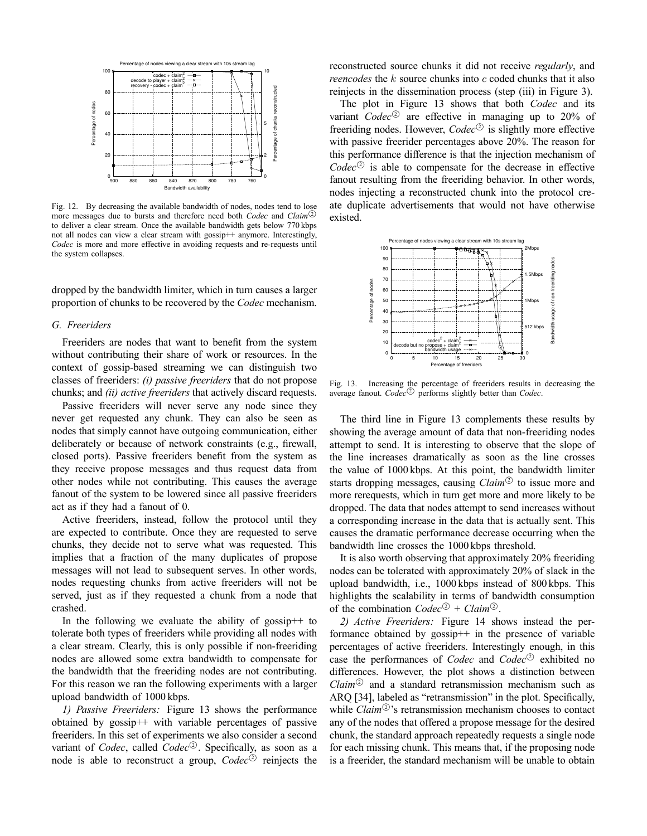

Fig. 12. By decreasing the available bandwidth of nodes, nodes tend to lose more messages due to bursts and therefore need both *Codec* and *Claim*°<sup>2</sup> to deliver a clear stream. Once the available bandwidth gets below 770 kbps not all nodes can view a clear stream with gossip++ anymore. Interestingly, *Codec* is more and more effective in avoiding requests and re-requests until the system collapses.

dropped by the bandwidth limiter, which in turn causes a larger proportion of chunks to be recovered by the *Codec* mechanism.

#### *G. Freeriders*

Freeriders are nodes that want to benefit from the system without contributing their share of work or resources. In the context of gossip-based streaming we can distinguish two classes of freeriders: *(i) passive freeriders* that do not propose chunks; and *(ii) active freeriders* that actively discard requests.

Passive freeriders will never serve any node since they never get requested any chunk. They can also be seen as nodes that simply cannot have outgoing communication, either deliberately or because of network constraints (e.g., firewall, closed ports). Passive freeriders benefit from the system as they receive propose messages and thus request data from other nodes while not contributing. This causes the average fanout of the system to be lowered since all passive freeriders act as if they had a fanout of 0.

Active freeriders, instead, follow the protocol until they are expected to contribute. Once they are requested to serve chunks, they decide not to serve what was requested. This implies that a fraction of the many duplicates of propose messages will not lead to subsequent serves. In other words, nodes requesting chunks from active freeriders will not be served, just as if they requested a chunk from a node that crashed.

In the following we evaluate the ability of gossip<sup>++</sup> to tolerate both types of freeriders while providing all nodes with a clear stream. Clearly, this is only possible if non-freeriding nodes are allowed some extra bandwidth to compensate for the bandwidth that the freeriding nodes are not contributing. For this reason we ran the following experiments with a larger upload bandwidth of 1000 kbps.

*1) Passive Freeriders:* Figure 13 shows the performance obtained by gossip++ with variable percentages of passive freeriders. In this set of experiments we also consider a second variant of *Codec*, called *Codec*<sup>2</sup>. Specifically, as soon as a node is able to reconstruct a group, *Codec*°<sup>2</sup> reinjects the reconstructed source chunks it did not receive *regularly*, and *reencodes* the k source chunks into c coded chunks that it also reinjects in the dissemination process (step (iii) in Figure 3).

The plot in Figure 13 shows that both *Codec* and its variant *Codec*<sup>2</sup> are effective in managing up to 20% of freeriding nodes. However, *Codec*<sup>2</sup> is slightly more effective with passive freerider percentages above 20%. The reason for this performance difference is that the injection mechanism of  $Code<sup>2</sup>$  is able to compensate for the decrease in effective fanout resulting from the freeriding behavior. In other words, nodes injecting a reconstructed chunk into the protocol create duplicate advertisements that would not have otherwise existed.



Fig. 13. Increasing the percentage of freeriders results in decreasing the average fanout. *Codec*°<sup>2</sup> performs slightly better than *Codec*.

The third line in Figure 13 complements these results by showing the average amount of data that non-freeriding nodes attempt to send. It is interesting to observe that the slope of the line increases dramatically as soon as the line crosses the value of 1000 kbps. At this point, the bandwidth limiter starts dropping messages, causing *Claim*<sup>2</sup> to issue more and more rerequests, which in turn get more and more likely to be dropped. The data that nodes attempt to send increases without a corresponding increase in the data that is actually sent. This causes the dramatic performance decrease occurring when the bandwidth line crosses the 1000 kbps threshold.

It is also worth observing that approximately 20% freeriding nodes can be tolerated with approximately 20% of slack in the upload bandwidth, i.e., 1000 kbps instead of 800 kbps. This highlights the scalability in terms of bandwidth consumption of the combination  $Code^{2} + Claim^{2}$ .

*2) Active Freeriders:* Figure 14 shows instead the performance obtained by  $cosi p++$  in the presence of variable percentages of active freeriders. Interestingly enough, in this case the performances of *Codec* and *Codec*°<sup>2</sup> exhibited no differences. However, the plot shows a distinction between *Claim*<sup> $\odot$ </sup> and a standard retransmission mechanism such as ARQ [34], labeled as "retransmission" in the plot. Specifically, while *Claim*<sup>2</sup>'s retransmission mechanism chooses to contact any of the nodes that offered a propose message for the desired chunk, the standard approach repeatedly requests a single node for each missing chunk. This means that, if the proposing node is a freerider, the standard mechanism will be unable to obtain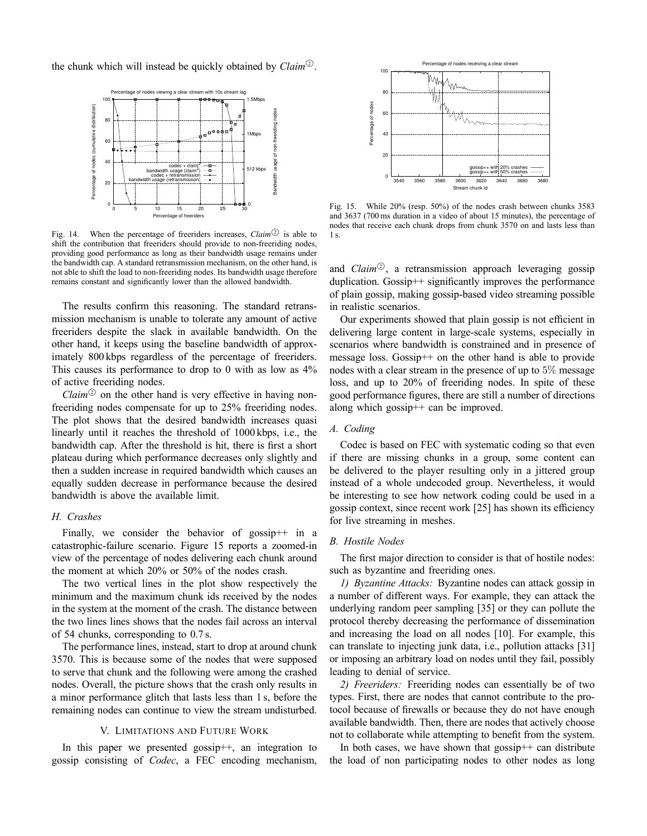the chunk which will instead be quickly obtained by *Claim*°<sup>2</sup> .



Fig. 14. When the percentage of freeriders increases,  $Claim^{\circled{2}}$  is able to shift the contribution that freeriders should provide to non-freeriding nodes, providing good performance as long as their bandwidth usage remains under the bandwidth cap. A standard retransmission mechanism, on the other hand, is not able to shift the load to non-freeriding nodes. Its bandwidth usage therefore remains constant and significantly lower than the allowed bandwidth.

The results confirm this reasoning. The standard retransmission mechanism is unable to tolerate any amount of active freeriders despite the slack in available bandwidth. On the other hand, it keeps using the baseline bandwidth of approximately 800 kbps regardless of the percentage of freeriders. This causes its performance to drop to 0 with as low as 4% of active freeriding nodes.

*Claim*<sup> $\odot$ </sup> on the other hand is very effective in having nonfreeriding nodes compensate for up to 25% freeriding nodes. The plot shows that the desired bandwidth increases quasi linearly until it reaches the threshold of 1000 kbps, i.e., the bandwidth cap. After the threshold is hit, there is first a short plateau during which performance decreases only slightly and then a sudden increase in required bandwidth which causes an equally sudden decrease in performance because the desired bandwidth is above the available limit.

#### *H. Crashes*

Finally, we consider the behavior of gossip<sup>++</sup> in a catastrophic-failure scenario. Figure 15 reports a zoomed-in view of the percentage of nodes delivering each chunk around the moment at which 20% or 50% of the nodes crash.

The two vertical lines in the plot show respectively the minimum and the maximum chunk ids received by the nodes in the system at the moment of the crash. The distance between the two lines lines shows that the nodes fail across an interval of 54 chunks, corresponding to 0.7 s.

The performance lines, instead, start to drop at around chunk 3570. This is because some of the nodes that were supposed to serve that chunk and the following were among the crashed nodes. Overall, the picture shows that the crash only results in a minor performance glitch that lasts less than 1 s, before the remaining nodes can continue to view the stream undisturbed.

#### V. LIMITATIONS AND FUTURE WORK

In this paper we presented gossip++, an integration to gossip consisting of *Codec*, a FEC encoding mechanism,



Fig. 15. While 20% (resp. 50%) of the nodes crash between chunks 3583 and 3637 (700 ms duration in a video of about 15 minutes), the percentage of nodes that receive each chunk drops from chunk 3570 on and lasts less than 1 s.

and *Claim*<sup>2</sup>, a retransmission approach leveraging gossip duplication. Gossip++ significantly improves the performance of plain gossip, making gossip-based video streaming possible in realistic scenarios.

Our experiments showed that plain gossip is not efficient in delivering large content in large-scale systems, especially in scenarios where bandwidth is constrained and in presence of message loss. Gossip++ on the other hand is able to provide nodes with a clear stream in the presence of up to 5% message loss, and up to 20% of freeriding nodes. In spite of these good performance figures, there are still a number of directions along which gossip++ can be improved.

#### *A. Coding*

Codec is based on FEC with systematic coding so that even if there are missing chunks in a group, some content can be delivered to the player resulting only in a jittered group instead of a whole undecoded group. Nevertheless, it would be interesting to see how network coding could be used in a gossip context, since recent work [25] has shown its efficiency for live streaming in meshes.

#### *B. Hostile Nodes*

The first major direction to consider is that of hostile nodes: such as byzantine and freeriding ones.

*1) Byzantine Attacks:* Byzantine nodes can attack gossip in a number of different ways. For example, they can attack the underlying random peer sampling [35] or they can pollute the protocol thereby decreasing the performance of dissemination and increasing the load on all nodes [10]. For example, this can translate to injecting junk data, i.e., pollution attacks [31] or imposing an arbitrary load on nodes until they fail, possibly leading to denial of service.

*2) Freeriders:* Freeriding nodes can essentially be of two types. First, there are nodes that cannot contribute to the protocol because of firewalls or because they do not have enough available bandwidth. Then, there are nodes that actively choose not to collaborate while attempting to benefit from the system.

In both cases, we have shown that gossip++ can distribute the load of non participating nodes to other nodes as long